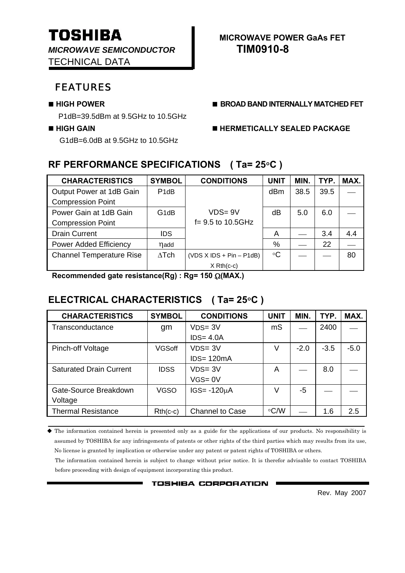*MICROWAVE SEMICONDUCTOR* **TIM0910-8**  TECHNICAL DATA

# FEATURES

P1dB=39.5dBm at 9.5GHz to 10.5GHz

G1dB=6.0dB at 9.5GHz to 10.5GHz

# **TOSHIBA** MICROWAVE POWER GAAS FET

#### ■ HIGH POWER **■ BROAD BAND INTERNALLY MATCHED FET**

### **HIGH GAIN HERMETICALLY SEALED PACKAGE**

### **RF PERFORMANCE SPECIFICATIONS ( Ta= 25**°**C )**

| <b>CHARACTERISTICS</b>          | <b>SYMBOL</b>     | <b>CONDITIONS</b>          | <b>UNIT</b> | MIN. | TYP. | MAX. |
|---------------------------------|-------------------|----------------------------|-------------|------|------|------|
| Output Power at 1dB Gain        | P <sub>1</sub> dB |                            | dBm         | 38.5 | 39.5 |      |
| <b>Compression Point</b>        |                   |                            |             |      |      |      |
| Power Gain at 1dB Gain          | G <sub>1</sub> dB | $VDS = 9V$                 | dB          | 5.0  | 6.0  |      |
| <b>Compression Point</b>        |                   | $f = 9.5$ to 10.5GHz       |             |      |      |      |
| <b>Drain Current</b>            | <b>IDS</b>        |                            | A           |      | 3.4  | 4.4  |
| <b>Power Added Efficiency</b>   | nadd              |                            | %           |      | 22   |      |
| <b>Channel Temperature Rise</b> | $\Delta$ Tch      | $(VDS X IDs + Pin - P1dB)$ | $\circ$ C   |      |      | 80   |
|                                 |                   | $X$ Rth $(c-c)$            |             |      |      |      |

 **Recommended gate resistance(Rg) : Rg= 150** Ω**(MAX.)** 

### **ELECTRICAL CHARACTERISTICS ( Ta= 25**°**C )**

| <b>CHARACTERISTICS</b>         | <b>SYMBOL</b> | <b>CONDITIONS</b>      | <b>UNIT</b> | MIN.   | TYP.   | MAX.   |
|--------------------------------|---------------|------------------------|-------------|--------|--------|--------|
| Transconductance               | gm            | $VDS = 3V$             | mS          |        | 2400   |        |
|                                |               | $IDS = 4.0A$           |             |        |        |        |
| Pinch-off Voltage              | <b>VGSoff</b> | $VDS = 3V$             | V           | $-2.0$ | $-3.5$ | $-5.0$ |
|                                |               | $IDS = 120mA$          |             |        |        |        |
| <b>Saturated Drain Current</b> | <b>IDSS</b>   | $VDS = 3V$             | A           |        | 8.0    |        |
|                                |               | $VGS = 0V$             |             |        |        |        |
| Gate-Source Breakdown          | <b>VGSO</b>   | $IGS = -120µA$         | V           | -5     |        |        |
| Voltage                        |               |                        |             |        |        |        |
| <b>Thermal Resistance</b>      | $Rth(c-c)$    | <b>Channel to Case</b> | $\circ$ C/W |        | 1.6    | 2.5    |

 The information contained herein is presented only as a guide for the applications of our products. No responsibility is assumed by TOSHIBA for any infringements of patents or other rights of the third parties which may results from its use, No license is granted by implication or otherwise under any patent or patent rights of TOSHIBA or others.

The information contained herein is subject to change without prior notice. It is therefor advisable to contact TOSHIBA before proceeding with design of equipment incorporating this product.

**TOSHIBA CORPORATION .** 

Rev. May 2007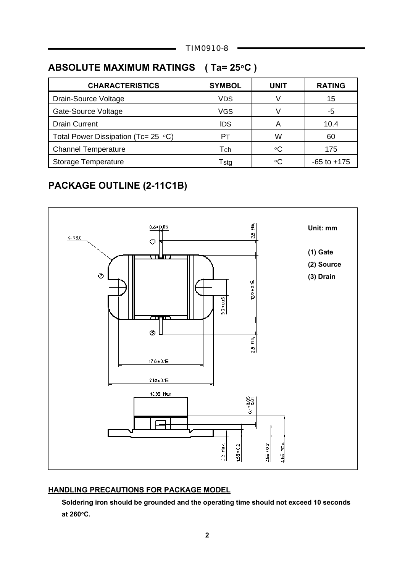TIM0910-8

# **ABSOLUTE MAXIMUM RATINGS ( Ta= 25**°**C )**

| <b>SYMBOL</b> | <b>UNIT</b> | <b>RATING</b>   |
|---------------|-------------|-----------------|
| <b>VDS</b>    | V           | 15              |
| <b>VGS</b>    | V           | -5              |
| <b>IDS</b>    | А           | 10.4            |
| Pт            | W           | 60              |
| Tch           | ∘C          | 175             |
| Tstg          | $\circ$ C   | $-65$ to $+175$ |
|               |             |                 |

# **PACKAGE OUTLINE (2-11C1B)**



#### **HANDLING PRECAUTIONS FOR PACKAGE MODEL**

 **Soldering iron should be grounded and the operating time should not exceed 10 seconds at 260**°**C.**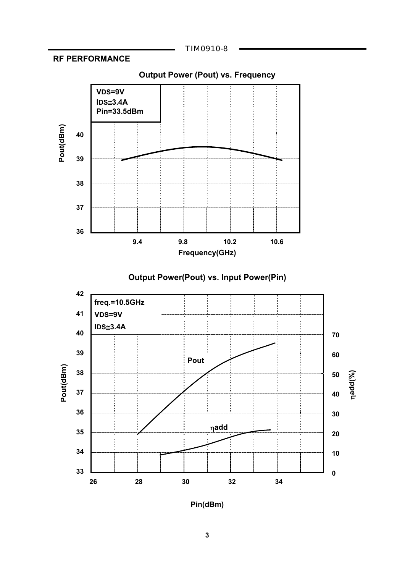#### TIM0910-8









**Pin(dBm)**